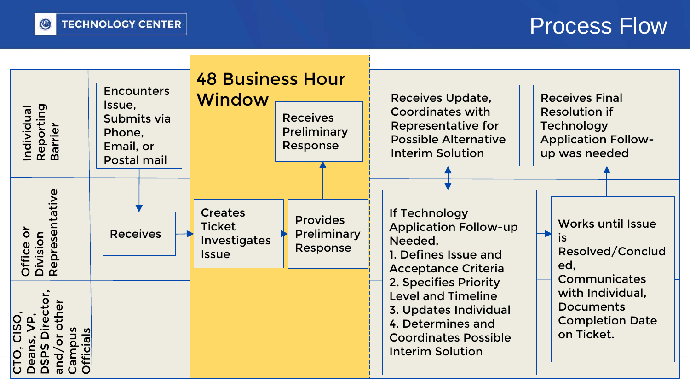

## Process Flow

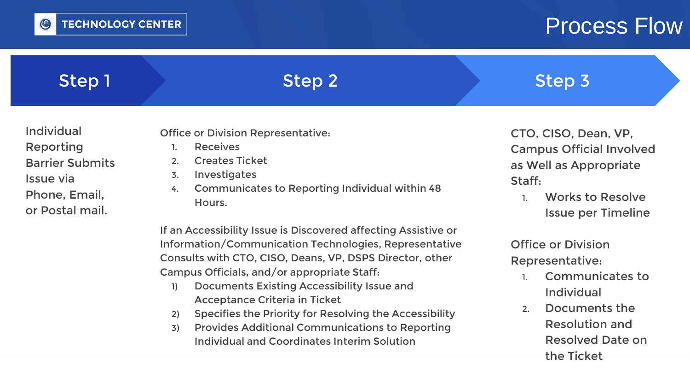

## **Process Flow**

Individual

the Ticket

2. Documents the

Resolution and

Resolved Date on

| Step 1                                                                                                    | Step 2                                                                                                                                                                                                                              | Step 3                                                                                                                                              |
|-----------------------------------------------------------------------------------------------------------|-------------------------------------------------------------------------------------------------------------------------------------------------------------------------------------------------------------------------------------|-----------------------------------------------------------------------------------------------------------------------------------------------------|
| <b>Individual</b><br>Reporting<br><b>Barrier Submits</b><br>Issue via<br>Phone, Email,<br>or Postal mail. | <b>Office or Division Representative:</b><br><b>Receives</b><br><b>Creates Ticket</b><br>2.<br>Investigates<br>3.<br><b>Communicates to Reporting Individual within 48</b><br>4.<br>Hours.                                          | CTO, CISO, Dean, VP,<br><b>Campus Official Involved</b><br>as Well as Appropriate<br>Staff:<br><b>Works to Resolve</b><br><b>Issue per Timeline</b> |
|                                                                                                           | If an Accessibility Issue is Discovered affecting Assistive or<br>Information/Communication Technologies, Representative<br>Consults with CTO, CISO, Deans, VP, DSPS Director, other<br>Campus Officials, and/or appropriate Staff. | <b>Office or Division</b><br>Representative:<br><b>Communicates to</b>                                                                              |

- 1) Documents Existing Accessibility Issue and Acceptance Criteria in Ticket
- 2) Specifies the Priority for Resolving the Accessibility
- 3) Provides Additional Communications to Reporting Individual and Coordinates Interim Solution